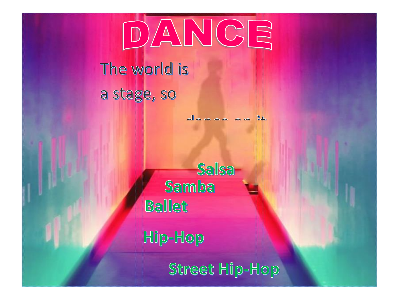

## The world is a stage, so

donon on it

Salsa Samba **Ballet** 

Hip-Hop

Street Hip-Hop